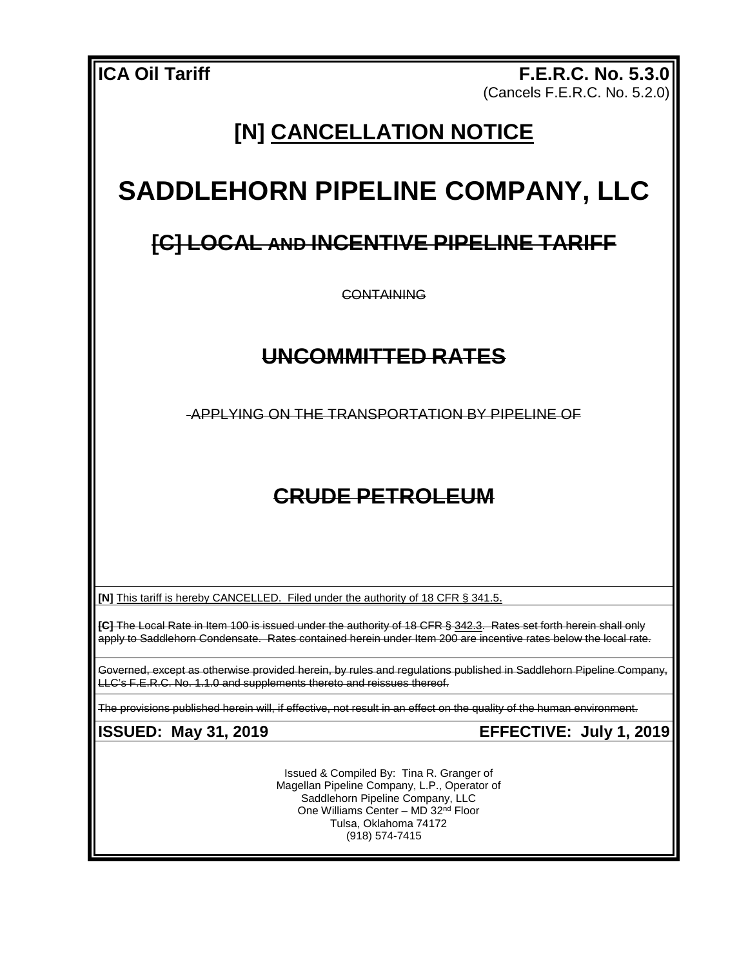**ICA Oil Tariff F.E.R.C. No. 5.3.0** (Cancels F.E.R.C. No. 5.2.0)

# **[N] CANCELLATION NOTICE**

# **SADDLEHORN PIPELINE COMPANY, LLC**

## **[C] LOCAL AND INCENTIVE PIPELINE TARIFF**

**CONTAINING** 

### **UNCOMMITTED RATES**

APPLYING ON THE TRANSPORTATION BY PIPELINE OF

# **CRUDE PETROLEUM**

**[N]** This tariff is hereby CANCELLED. Filed under the authority of 18 CFR § 341.5.

**[C]** The Local Rate in Item 100 is issued under the authority of 18 CFR § 342.3. Rates set forth herein shall only apply to Saddlehorn Condensate. Rates contained herein under Item 200 are incentive rates below the local rate.

Governed, except as otherwise provided herein, by rules and regulations published in Saddlehorn Pipeline Company, LLC's F.E.R.C. No. 1.1.0 and supplements thereto and reissues thereof.

The provisions published herein will, if effective, not result in an effect on the quality of the human environment.

**ISSUED: May 31, 2019 EFFECTIVE: July 1, 2019**

Issued & Compiled By: Tina R. Granger of Magellan Pipeline Company, L.P., Operator of Saddlehorn Pipeline Company, LLC One Williams Center – MD 32nd Floor Tulsa, Oklahoma 74172 (918) 574-7415